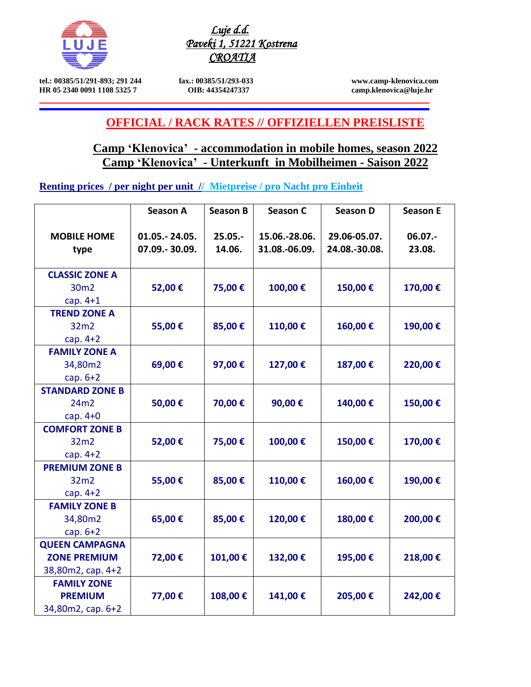

*Luje d.d. Paveki 1, 51221 Kostrena CROATIA* 

**tel.: 00385/51/291-893; 291 244 fax.: 00385/51/293-033 www.camp-klenovica.com HR 05 2340 0091 1108 5325 7 OIB: 44354247337 [camp.klenovica@luje.hr](mailto:camp.klenovica@luje.hr)**

# **OFFICIAL / RACK RATES // OFFIZIELLEN PREISLISTE**

## **Camp 'Klenovica' - accommodation in mobile homes, season 2022 Camp 'Klenovica' - Unterkunft in Mobilheimen - Saison 2022**

**Renting prices / per night per unit // Mietpreise / pro Nacht pro Einheit**

|                            | Season A                         | <b>Season B</b>      | Season C                       | <b>Season D</b>               | <b>Season E</b>      |
|----------------------------|----------------------------------|----------------------|--------------------------------|-------------------------------|----------------------|
| <b>MOBILE HOME</b><br>type | 01.05. - 24.05.<br>07.09.-30.09. | $25.05. -$<br>14.06. | 15.06.-28.06.<br>31.08.-06.09. | 29.06-05.07.<br>24.08.-30.08. | $06.07. -$<br>23.08. |
| <b>CLASSIC ZONE A</b>      |                                  |                      |                                |                               |                      |
| 30 <sub>m2</sub>           | 52,00€                           | 75,00€               | 100,00€                        | 150,00€                       | 170,00€              |
| cap. $4+1$                 |                                  |                      |                                |                               |                      |
| <b>TREND ZONE A</b>        |                                  |                      |                                |                               |                      |
| 32m2                       | 55,00€                           | 85,00€               | 110,00€                        | 160,00€                       | 190,00€              |
| cap. $4+2$                 |                                  |                      |                                |                               |                      |
| <b>FAMILY ZONE A</b>       |                                  |                      |                                |                               |                      |
| 34,80m2                    | 69,00€                           | 97,00€               | 127,00€                        | 187,00€                       | 220,00€              |
| cap. $6+2$                 |                                  |                      |                                |                               |                      |
| <b>STANDARD ZONE B</b>     |                                  |                      |                                |                               |                      |
| 24m2                       | 50,00€                           | 70,00€               | 90,00€                         | 140,00€                       | 150,00€              |
| cap. $4+0$                 |                                  |                      |                                |                               |                      |
| <b>COMFORT ZONE B</b>      |                                  |                      |                                |                               |                      |
| 32m2                       | 52,00€                           | 75,00€               | 100,00€                        | 150,00€                       | 170,00€              |
| cap. $4+2$                 |                                  |                      |                                |                               |                      |
| <b>PREMIUM ZONE B</b>      |                                  |                      |                                |                               |                      |
| 32m2                       | 55,00€                           | 85,00€               | 110,00€                        | 160,00€                       | 190,00€              |
| cap. $4+2$                 |                                  |                      |                                |                               |                      |
| <b>FAMILY ZONE B</b>       |                                  |                      |                                |                               |                      |
| 34,80m2                    | 65,00€                           | 85,00€               | 120,00€                        | 180,00€                       | 200,00€              |
| cap. $6+2$                 |                                  |                      |                                |                               |                      |
| <b>QUEEN CAMPAGNA</b>      |                                  |                      |                                |                               |                      |
| <b>ZONE PREMIUM</b>        | 72,00€                           | 101,00€              | 132,00€                        | 195,00€                       | 218,00€              |
| 38,80m2, cap. 4+2          |                                  |                      |                                |                               |                      |
| <b>FAMILY ZONE</b>         |                                  |                      |                                |                               |                      |
| <b>PREMIUM</b>             | 77,00€                           | 108,00€              | 141,00€                        | 205,00€                       | 242,00€              |
| 34,80m2, cap. 6+2          |                                  |                      |                                |                               |                      |